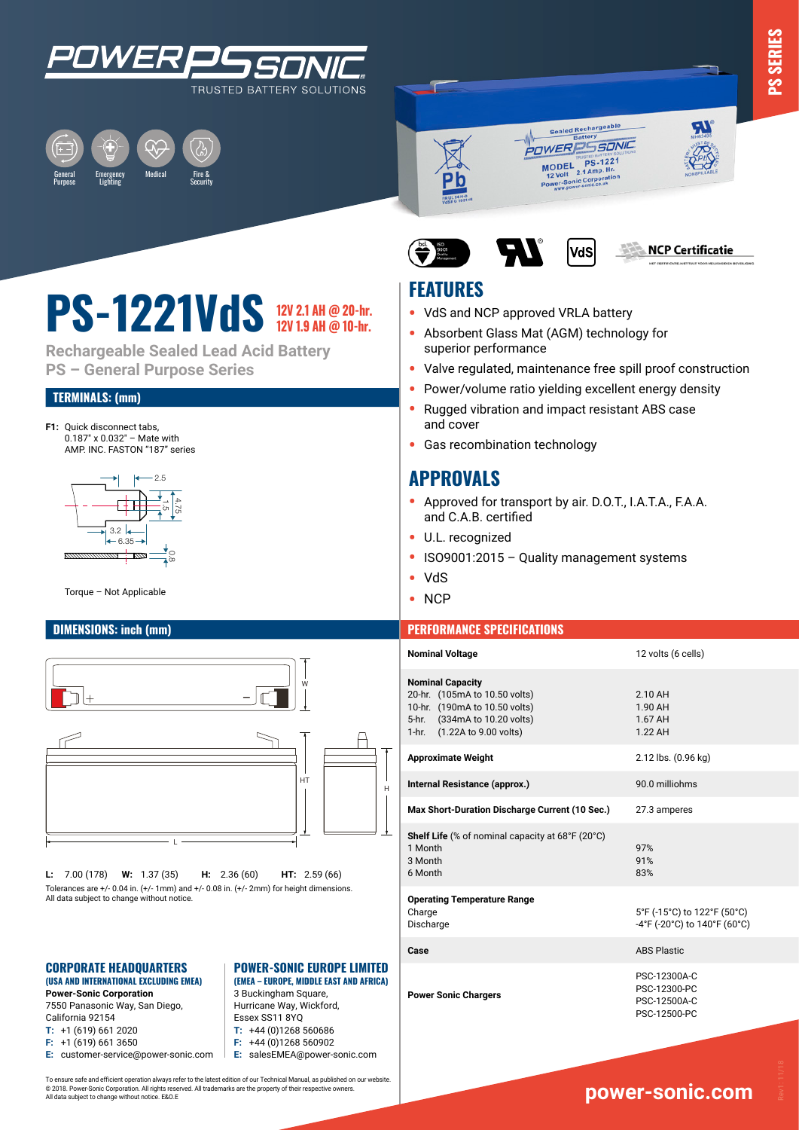









# **PS-1221VdS** 12V 2.1 AH @ 20-hr.

**Rechargeable Sealed Lead Acid Battery PS – General Purpose Series**

### **TERMINALS: (mm)**

**F1:** Ouick disconnect tabs, 0.187" x 0.032" – Mate with AMP. INC. FASTON "187" series



Torque - Not Applicable



**L:** 7.00 (178) **W:** 1.37 (35) **H:** 2.36 (60) **HT:** 2.59 (66) Tolerances are +/- 0.04 in. (+/- 1mm) and +/- 0.08 in. (+/- 2mm) for height dimensions. All data subject to change without notice.

### **CORPORATE HEADQUARTERS (USA AND INTERNATIONAL EXCLUDING EMEA)**

**Power-Sonic Corporation** 7550 Panasonic Way, San Diego, California 92154 **T:** +1 (619) 661 2020 **F:** +1 (619) 661 3650 **E:** customer-service@power-sonic.com

### **POWER-SONIC EUROPE LIMITED (EMEA – EUROPE, MIDDLE EAST AND AFRICA)**

3 Buckingham Square, Hurricane Way, Wickford, Essex SS11 8YQ **T:** +44 (0)1268 560686

**F:** +44 (0)1268 560902

**E:** salesEMEA@power-sonic.com

To ensure safe and efficient operation always refer to the latest edition of our Technical Manual, as published on our website. © 2018. Power-Sonic Corporation. All rights reserved. All trademarks are the property of their respective owners. All data subject to change without notice. E&O.E

### **FEATURES**

- **•** VdS and NCP approved VRLA battery
- **•** Absorbent Glass Mat (AGM) technology for superior performance
- **•** Valve regulated, maintenance free spill proof construction

VdS

- **•** Power/volume ratio yielding excellent energy density
- **•** Rugged vibration and impact resistant ABS case and cover
- **•** Gas recombination technology

### **APPROVALS**

- **•** Approved for transport by air. D.O.T., I.A.T.A., F.A.A. and C.A.B. certified
- **•** U.L. recognized
- **•** ISO9001:2015 Quality management systems
- **•** VdS
- **•** NCP

### **DIMENSIONS: inch (mm) PERFORMANCE SPECIFICATIONS**

| <b>Nominal Voltage</b>                                                                                                                                   | 12 volts (6 cells)                                           |
|----------------------------------------------------------------------------------------------------------------------------------------------------------|--------------------------------------------------------------|
| <b>Nominal Capacity</b><br>20-hr. (105mA to 10.50 volts)<br>10-hr. (190mA to 10.50 volts)<br>5-hr. (334mA to 10.20 volts)<br>1-hr. (1.22A to 9.00 volts) | 2.10 AH<br>1.90 AH<br>1.67 AH<br>1.22 AH                     |
| <b>Approximate Weight</b>                                                                                                                                | 2.12 lbs. (0.96 kg)                                          |
| Internal Resistance (approx.)                                                                                                                            | 90.0 milliohms                                               |
| Max Short-Duration Discharge Current (10 Sec.)                                                                                                           | 27.3 amperes                                                 |
| <b>Shelf Life</b> (% of nominal capacity at 68°F (20°C)<br>1 Month<br>3 Month<br>6 Month                                                                 | 97%<br>91%<br>83%                                            |
| <b>Operating Temperature Range</b><br>Charge<br>Discharge                                                                                                | 5°F (-15°C) to 122°F (50°C)<br>-4°F (-20°C) to 140°F (60°C)  |
| Case                                                                                                                                                     | <b>ABS Plastic</b>                                           |
| <b>Power Sonic Chargers</b>                                                                                                                              | PSC-12300A-C<br>PSC-12300-PC<br>PSC-12500A-C<br>PSC-12500-PC |
|                                                                                                                                                          |                                                              |

**PS SERIES**

### **www.power-sonic.com**